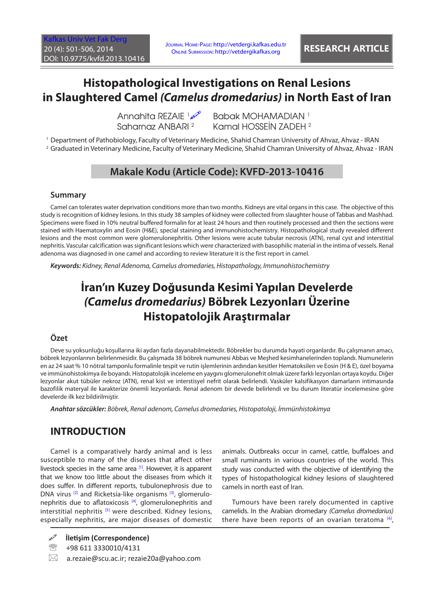[Kafkas Univ Vet Fak Derg](http://vetdergi.kafkas.edu.tr/) 20 (4): 501-506, 2014 DOI: 10.9775/kvfd.2013.10416

Journal Home-Page: http://vetdergi.kafkas.edu.tr Online Submission: http://vetdergikafkas.org **RESEARCH ARTICLE**

# **Histopathological Investigations on Renal Lesions in Slaughtered Camel** *(Camelus dromedarius)* **in North East of Iran**

Annahita REZAIE 1 Saharnaz ANBARI 2

**Babak MOHAMADIAN** 1 Kamal HOSSEİN ZADEH <sup>2</sup>

1 Department of Pathobiology, Faculty of Veterinary Medicine, Shahid Chamran University of Ahvaz, Ahvaz - IRAN

2 Graduated in Veterinary Medicine, Faculty of Veterinary Medicine, Shahid Chamran University of Ahvaz, Ahvaz - IRAN

# **Makale Kodu (Article Code): KVFD-2013-10416**

#### **Summary**

Camel can tolerates water deprivation conditions more than two months. Kidneys are vital organs in this case. The objective of this study is recognition of kidney lesions. In this study 38 samples of kidney were collected from slaughter house of Tabbas and Mashhad. Specimens were fixed in 10% neutral buffered formalin for at least 24 hours and then routinely processed and then the sections were stained with Haematoxylin and Eosin (H&E), special staining and immunohistochemistry. Histopathological study revealed different lesions and the most common were glomerulonephritis. Other lesions were acute tubular necrosis (ATN), renal cyst and interstitial nephritis. Vascular calcification was significant lesions which were characterized with basophilic material in the intima of vessels. Renal adenoma was diagnosed in one camel and according to review literature it is the first report in camel.

*Keywords: Kidney, Renal Adenoma, Camelus dromedaries, Histopathology, Immunohistochemistry*

# **İran'ın Kuzey Doğusunda Kesimi Yapılan Develerde**  *(Camelus dromedarius)* **Böbrek Lezyonları Üzerine Histopatolojik Araştırmalar**

#### **Özet**

Deve su yoksunluğu koşullarına iki aydan fazla dayanabilmektedir. Böbrekler bu durumda hayati organlardır. Bu çalışmanın amacı, böbrek lezyonlarının belirlenmesidir. Bu çalışmada 38 böbrek numunesi Abbas ve Meşhed kesimhanelerinden toplandı. Numunelerin en az 24 saat % 10 nötral tamponlu formalinle tespit ve rutin işlemlerinin ardından kesitler Hematoksilen ve Eosin (H & E), özel boyama ve immünohistokimya ile boyandı. Histopatolojik inceleme en yaygını glomerulonefrit olmak üzere farklı lezyonları ortaya koydu. Diğer lezyonlar akut tübüler nekroz (ATN), renal kist ve interstisyel nefrit olarak belirlendi. Vasküler kalsifikasyon damarların intimasında bazofilik materyal ile karakterize önemli lezyonlardı. Renal adenom bir devede belirlendi ve bu durum literatür incelemesine göre develerde ilk kez bildirilmiştir.

*Anahtar sözcükler: Böbrek, Renal adenom, Camelus dromedaries, Histopatoloji, İmmünhistokimya*

## **INTRODUCTION**

Camel is a comparatively hardy animal and is less susceptible to many of the diseases that affect other livestock species in the same are[a \[1\].](#page-4-0) However, it is apparent that we know too little about the diseases from which it does suffer. In different reports, tubulonephrosis due to DNA virus <sup>[\[2\]](#page-4-0)</sup> and Ricketsia-like organisms <sup>[3]</sup>, glomerulonephritis due to aflatoxicosi[s \[4\],](#page-4-0) glomerulonephritis and interstitial nephritis  $[5]$  were described. Kidney lesions, especially nephritis, are major diseases of domestic

**İletişim (Correspondence)**

- <sup>3</sup> +98 611 3330010/4131
- $\boxtimes$  a.rezaie@scu.ac.ir; rezaie20a@yahoo.com

animals. Outbreaks occur in camel, cattle, buffaloes and small ruminants in various countries of the world. This study was conducted with the objective of identifying the types of histopathological kidney lesions of slaughtered camels in north east of Iran.

Tumours have been rarely documented in captive camelids. In the Arabian dromedary *(Camelus dromedarius)* there have been reports of an ovarian teratoma  $[6]$ ,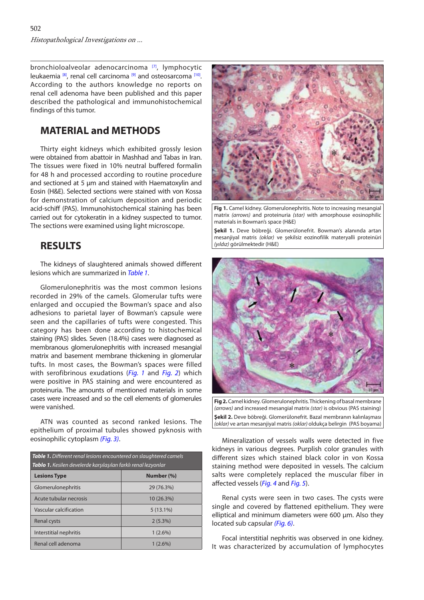bronchioloalveolar adenocarcinoma<sup>[7]</sup>, lymphocytic leukaemia  $^{[8]}$ , renal cell carcinoma  $^{[9]}$  and osteosarcoma  $^{[10]}$ . According to the authors knowledge no reports on renal cell adenoma have been published and this paper described the pathological and immunohistochemical findings of this tumor.

## **MATERIAL and METHODS**

Thirty eight kidneys which exhibited grossly lesion were obtained from abattoir in Mashhad and Tabas in Iran. The tissues were fixed in 10% neutral buffered formalin for 48 h and processed according to routine procedure and sectioned at 5 µm and stained with Haematoxylin and Eosin (H&E). Selected sections were stained with von Kossa for demonstration of calcium deposition and periodic acid-schiff (PAS). Immunohistochemical staining has been carried out for cytokeratin in a kidney suspected to tumor. The sections were examined using light microscope.

### **RESULTS**

The kidneys of slaughtered animals showed different lesions which are summarized in *Table 1*.

Glomerulonephritis was the most common lesions recorded in 29% of the camels. Glomerular tufts were enlarged and occupied the Bowman's space and also adhesions to parietal layer of Bowman's capsule were seen and the capillaries of tufts were congested. This category has been done according to histochemical staining (PAS) slides. Seven (18.4%) cases were diagnosed as membranous glomerulonephritis with increased mesangial matrix and basement membrane thickening in glomerular tufts. In most cases, the Bowman's spaces were filled with serofibrinous exudations (*Fig. 1* and *Fig. 2*) which were positive in PAS staining and were encountered as proteinuria. The amounts of mentioned materials in some cases were increased and so the cell elements of glomerules were vanished.

ATN was counted as second ranked lesions. The epithelium of proximal tubules showed pyknosis with eosinophilic cytoplasm [\(Fig. 3\)](#page-2-0). The same of vessels walls were detected in five

| <b>Table 1.</b> Different renal lesions encountered on slaughtered camels<br>Tablo 1. Kesilen develerde karşılaşılan farklı renal lezyonlar |             |
|---------------------------------------------------------------------------------------------------------------------------------------------|-------------|
| <b>Lesions Type</b>                                                                                                                         | Number (%)  |
| Glomerulonephritis                                                                                                                          | 29 (76.3%)  |
| Acute tubular necrosis                                                                                                                      | 10(26.3%)   |
| Vascular calcification                                                                                                                      | $5(13.1\%)$ |
| Renal cysts                                                                                                                                 | $2(5.3\%)$  |
| Interstitial nephritis                                                                                                                      | $1(2.6\%)$  |
| Renal cell adenoma                                                                                                                          | $1(2.6\%)$  |



**Fig 1.** Camel kidney. Glomerulonephritis. Note to increasing mesangial matrix *(arrows)* and proteinuria *(star)* with amorphouse eosinophilic materials in Bowman's space (H&E)

**Şekil 1.** Deve böbreği. Glomerülonefrit. Bowman's alanında artan mesanjiyal matris *(oklar)* ve şekilsiz eozinofilik materyalli proteinüri *(yıldız)* görülmektedir (H&E)



**Fig 2.** Camel kidney. Glomerulonephritis. Thickening of basal membrane *(arrows)* and increased mesangial matrix *(star)* is obvious (PAS staining) **Şekil 2.** Deve böbreği. Glomerülonefrit. Bazal membranın kalınlaşması *(oklar)* ve artan mesanjiyal matris *(oklar)* oldukça belirgin (PAS boyama)

kidneys in various degrees. Purplish color granules with different sizes which stained black color in von Kossa staining method were deposited in vessels. The calcium salts were completely replaced the muscular fiber in affected vessels (*[Fig. 4](#page-2-0)* and *[Fig. 5](#page-2-0)*).

Renal cysts were seen in two cases. The cysts were single and covered by flattened epithelium. They were elliptical and minimum diameters were 600 µm. Also they located sub capsular *[\(Fig. 6\)](#page-2-0)*.

Focal interstitial nephritis was observed in one kidney. It was characterized by accumulation of lymphocytes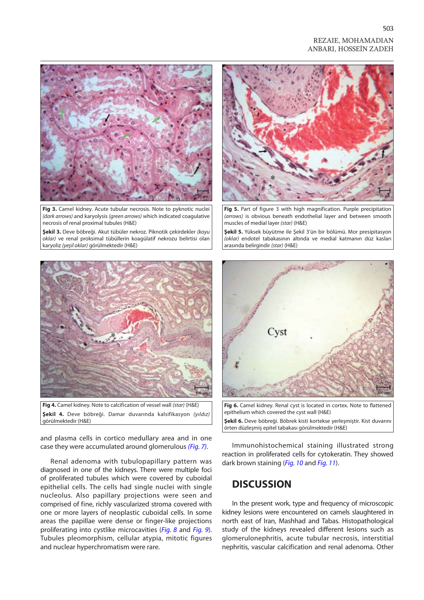#### REZAIE, MOHAMADIAN ANBARI, HOSSEİN ZADEH

<span id="page-2-0"></span>

**Fig 3.** Camel kidney. Acute tubular necrosis. Note to pyknotic nuclei *(dark arrows)* and karyolysis *(green arrows)* which indicated coagulative necrosis of renal proximal tubules (H&E)

**Şekil 3.** Deve böbreği. Akut tübüler nekroz. Piknotik çekirdekler *(koyu oklar)* ve renal proksimal tübüllerin koagülatif nekrozu belirtisi olan karyoliz *(yeşil oklar)* görülmektedir (H&E)



**Fig 4.** Camel kidney. Note to calcification of vessel wall *(star)* (H&E) **Şekil 4.** Deve böbreği. Damar duvarında kalsifikasyon *(yıldız)* görülmektedir (H&E)

and plasma cells in cortico medullary area and in one case they were accumulated around glomerulous *[\(Fig. 7\)](#page-3-0)*.

Renal adenoma with tubulopapillary pattern was diagnosed in one of the kidneys. There were multiple foci of proliferated tubules which were covered by cuboidal epithelial cells. The cells had single nuclei with single nucleolus. Also papillary projections were seen and comprised of fine, richly vascularized stroma covered with one or more layers of neoplastic cuboidal cells. In some areas the papillae were dense or finger-like projections proliferating into cystlike microcavities (*[Fig. 8](#page-3-0)* and *[Fig. 9](#page-3-0)*). Tubules pleomorphism, cellular atypia, mitotic figures and nuclear hyperchromatism were rare.



**Fig 5.** Part of figure 3 with high magnification. Purple precipitation *(arrows)* is obvious beneath endothelial layer and between smooth muscles of medial layer *(star)* (H&E)

**Şekil 5.** Yüksek büyütme ile Şekil 3'ün bir bölümü. Mor presipitasyon *(oklar)* endotel tabakasının altında ve medial katmanın düz kasları arasında belirgindir *(star)* (H&E)



**Fig 6.** Camel kidney. Renal cyst is located in cortex. Note to flattened epithelium which covered the cyst wall (H&E)

**Şekil 6.** Deve böbreği. Böbrek kisti kortekse yerleşmiştir. Kist duvarını örten düzleşmiş epitel tabakası görülmektedir (H&E)

Immunohistochemical staining illustrated strong reaction in proliferated cells for cytokeratin. They showed dark brown staining (*[Fig. 10](#page-3-0)* and *[Fig. 11](#page-4-0)*).

### **DISCUSSION**

In the present work, type and frequency of microscopic kidney lesions were encountered on camels slaughtered in north east of Iran, Mashhad and Tabas. Histopathological study of the kidneys revealed different lesions such as glomerulonephritis, acute tubular necrosis, interstitial nephritis, vascular calcification and renal adenoma. Other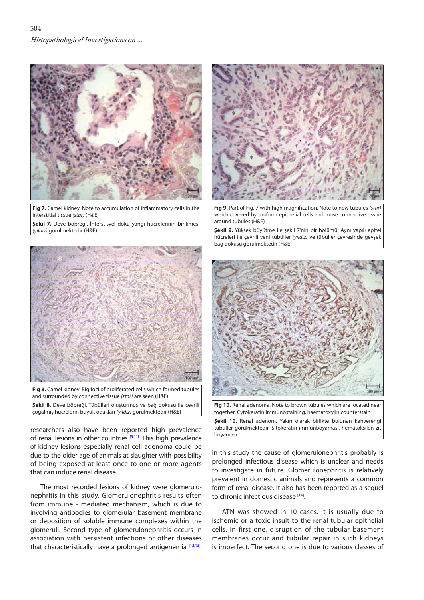<span id="page-3-0"></span>

**Fig 7.** Camel kidney. Note to accumulation of inflammatory cells in the interstitial tissue *(star)* (H&E)

**Şekil 7.** Deve böbreği. İnterstisyel doku yangı hücrelerinin birikmesi *(yıldız)* görülmektedir (H&E)



**Fig 8.** Camel kidney. Big foci of proliferated cells which formed tubules and surrounded by connective tissue *(star)* are seen (H&E) **Şekil 8.** Deve böbreği. Tübülleri oluşturmuş ve bağ dokusu ile çevrili çoğalmış hücrelerin büyük odakları *(yıldız)* görülmektedir (H&E)

researchers also have been reported high prevalence of renal lesions in other countries [\[5,](#page-4-0)[11\]](#page-5-0). This high prevalence of kidney lesions especially renal cell adenoma could be due to the older age of animals at slaughter with possibility of being exposed at least once to one or more agents that can induce renal disease.

The most recorded lesions of kidney were glomerulonephritis in this study. Glomerulonephritis results often from immune - mediated mechanism, which is due to involving antibodies to glomerular basement membrane or deposition of soluble immune complexes within the glomeruli. Second type of glomerulonephritis occurs in association with persistent infections or other diseases that characteristically have a prolonged antigenemia [\[12,13\]](#page-5-0).



**Fig 9.** Part of Fig. 7 with high magnification. Note to new tubules *(star)* which covered by uniform epithelial cells and loose connective tissue around tubules (H&E)

**Şekil 9.** Yüksek büyütme ile şekil 7'nin bir bölümü. Aynı yapılı epitel hücreleri ile çevrili yeni tübüller *(yıldız)* ve tübüller çevresinde gevşek bağ dokusu görülmektedir (H&E)



**Fig 10.** Renal adenoma. Note to brown tubules which are located near together. Cytokeratin immunostaining, haematoxylin counterstain **Şekil 10.** Renal adenom. Yakın olarak birlikte bulunan kahverengi tübüller görülmektedir. Sitokeratin immünboyaması, hematoksilen zıt boyaması

In this study the cause of glomerulonephritis probably is prolonged infectious disease which is unclear and needs to investigate in future. Glomerulonephritis is relatively prevalent in domestic animals and represents a common form of renal disease. It also has been reported as a sequel to chronic infectious diseas[e \[14\].](#page-5-0)

ATN was showed in 10 cases. It is usually due to ischemic or a toxic insult to the renal tubular epithelial cells. In first one, disruption of the tubular basement membranes occur and tubular repair in such kidneys is imperfect. The second one is due to various classes of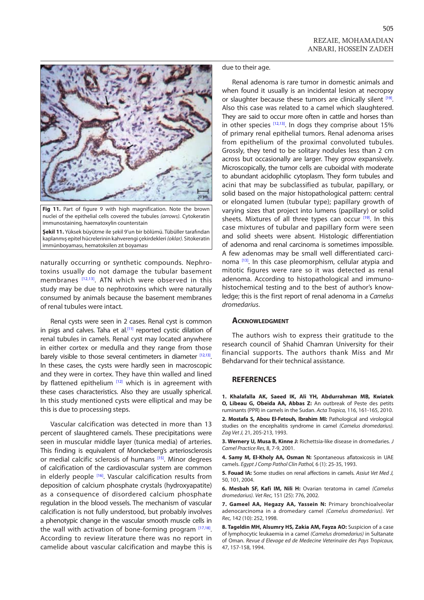<span id="page-4-0"></span>

**Fig 11.** Part of figure 9 with high magnification. Note the brown nuclei of the epithelial cells covered the tubules *(arrows).* Cytokeratin immunostaining, haematoxylin counterstain

**Şekil 11.** Yüksek büyütme ile şekil 9'un bir bölümü. Tübüller tarafından kaplanmış epitel hücrelerinin kahverengi çekirdekleri *(oklar).* Sitokeratin immünboyaması, hematoksilen zıt boyaması

naturally occurring or synthetic compounds. Nephrotoxins usually do not damage the tubular basement membranes <a>[12,13]</a>. ATN which were observed in this study may be due to nephrotoxins which were naturally consumed by animals because the basement membranes of renal tubules were intact.

Renal cysts were seen in 2 cases. Renal cyst is common in pigs and calves. Taha et al.<sup>[11]</sup> reported cystic dilation of renal tubules in camels. Renal cyst may located anywhere in either cortex or medulla and they range from those barely visible to those several centimeters in diameter [12,13]. In these cases, the cysts were hardly seen in macroscopic and they were in cortex. They have thin walled and lined by flattened epithelium  $[12]$  which is in agreement with these cases characteristics. Also they are usually spherical. In this study mentioned cysts were elliptical and may be this is due to processing steps.

Vascular calcification was detected in more than 13 percent of slaughtered camels. These precipitations were seen in muscular middle layer (tunica media) of arteries. This finding is equivalent of Monckeberg's arteriosclerosis or medial calcific sclerosis of humans [15]. Minor degrees of calcification of the cardiovascular system are common in elderly people <a>[16]</a>. Vascular calcification results from deposition of calcium phosphate crystals (hydroxyapatite) as a consequence of disordered calcium phosphate regulation in the blood vessels. The mechanism of vascular calcification is not fully understood, but probably involves a phenotypic change in the vascular smooth muscle cells in the wall with activation of bone-forming program  $[17,18]$ . According to review literature there was no report in camelide about vascular calcification and maybe this is

due to their age.

Renal adenoma is rare tumor in domestic animals and when found it usually is an incidental lesion at necropsy or slaughter because these tumors are clinically silent <sup>[19]</sup>. Also this case was related to a camel which slaughtered. They are said to occur more often in cattle and horses than in other species  $[12,13]$ . In dogs they comprise about 15% of primary renal epithelial tumors. Renal adenoma arises from epithelium of the proximal convoluted tubules. Grossly, they tend to be solitary nodules less than 2 cm across but occasionally are larger. They grow expansively. Microscopically, the tumor cells are cuboidal with moderate to abundant acidophilic cytoplasm. They form tubules and acini that may be subclassified as tubular, papillary, or solid based on the major histopathological pattern: central or elongated lumen (tubular type); papillary growth of varying sizes that project into lumens (papillary) or solid sheets. Mixtures of all three types can occur<sup>[19]</sup>. In this case mixtures of tubular and papillary form were seen and solid sheets were absent. Histologic differentiation of adenoma and renal carcinoma is sometimes impossible. A few adenomas may be small well differentiated carcinoma [\[13\].](#page-5-0) In this case pleomorphism, cellular atypia and mitotic figures were rare so it was detected as renal adenoma. According to histopathological and immunohistochemical testing and to the best of author's knowledge; this is the first report of renal adenoma in a *Camelus dromedarius*.

#### **Acknowledgment**

The authors wish to express their gratitude to the research council of Shahid Chamran University for their financial supports. The authors thank Miss and Mr Behdarvand for their technical assistance.

#### **REFERENCES**

**1. Khalafalla AK, Saeed IK, Ali YH, Abdurrahman MB, Kwiatek O, Libeau G, Obeida AA, Abbas Z:** An outbreak of Peste des petits ruminants (PPR) in camels in the Sudan. *Acta Tropica,* 116, 161-165, 2010.

**2. Mostafa S, Abou El-Fetouh, Ibrahim MI:** Pathological and virological studies on the encephalitis syndrome in camel *(Camelus dromedarius). Zag Vet J,* 21, 205-213, 1993.

**3. Wernery U, Musa B, Kinne J:** Richettsia-like disease in dromedaries. *J Camel Practice Res,* 8, 7-9, 2001.

**4. Samy M, El-Kholy AA, Osman N:** Spontaneous aflatoxicosis in UAE camels. *Egypt J Comp Pathol Clin Pathol,* 6 (1): 25-35, 1993.

**5. Fouad IA:** Some studies on renal affections in camels. *Assiut Vet Med J,* 50, 101, 2004.

**6. Mesbah SF, Kafi IM, Nili H:** Ovarian teratoma in camel *(Camelus dromedarius). Vet Rec,* 151 (25): 776, 2002.

**7. Gameel AA, Hegazy AA, Yassein N:** Primary bronchioalveolar adenocarcinoma in a dromedary camel *(Camelus dromedarius). Vet Rec,* 142 (10): 252, 1998.

**8. Tageldin MH, Alsumry HS, Zakia AM, Fayza AO:** Suspicion of a case of lymphocytic leukaemia in a camel *(Camelus dromedarius)* in Sultanate of Oman. *Revue d Elevage ed de Medecine Veterinaire des Pays Tropicaux,*  47, 157-158, 1994.